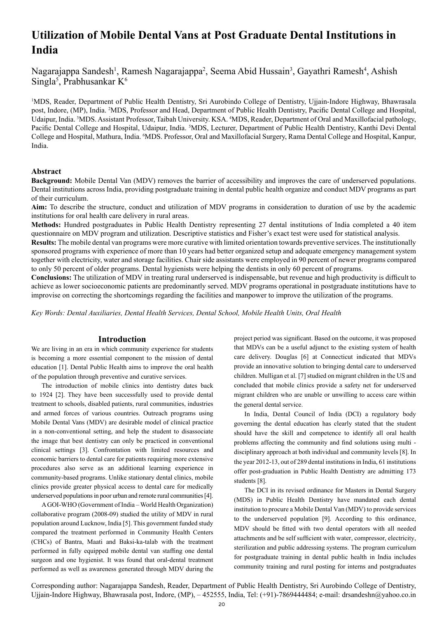# **Utilization of Mobile Dental Vans at Post Graduate Dental Institutions in India**

Nagarajappa Sandesh<sup>1</sup>, Ramesh Nagarajappa<sup>2</sup>, Seema Abid Hussain<sup>3</sup>, Gayathri Ramesh<sup>4</sup>, Ashish Singla<sup>5</sup>, Prabhusankar K<sup>6</sup>

1 MDS, Reader, Department of Public Health Dentistry, Sri Aurobindo College of Dentistry, Ujjain-Indore Highway, Bhawrasala post, Indore, (MP), India. <sup>2</sup>MDS, Professor and Head, Department of Public Health Dentistry, Pacific Dental College and Hospital, Udaipur, India. <sup>3</sup>MDS. Assistant Professor, Taibah University. KSA. <sup>4</sup>MDS, Reader, Department of Oral and Maxillofacial pathology, Pacific Dental College and Hospital, Udaipur, India. 5MDS, Lecturer, Department of Public Health Dentistry, Kanthi Devi Dental College and Hospital, Mathura, India. <sup>6</sup>MDS. Professor, Oral and Maxillofacial Surgery, Rama Dental College and Hospital, Kanpur, India.

## **Abstract**

**Background:** Mobile Dental Van (MDV) removes the barrier of accessibility and improves the care of underserved populations. Dental institutions across India, providing postgraduate training in dental public health organize and conduct MDV programs as part of their curriculum.

**Aim:** To describe the structure, conduct and utilization of MDV programs in consideration to duration of use by the academic institutions for oral health care delivery in rural areas.

**Methods:** Hundred postgraduates in Public Health Dentistry representing 27 dental institutions of India completed a 40 item questionnaire on MDV program and utilization. Descriptive statistics and Fisher's exact test were used for statistical analysis.

**Results:** The mobile dental van programs were more curative with limited orientation towards preventive services. The institutionally sponsored programs with experience of more than 10 years had better organized setup and adequate emergency management system together with electricity, water and storage facilities. Chair side assistants were employed in 90 percent of newer programs compared to only 50 percent of older programs. Dental hygienists were helping the dentists in only 60 percent of programs.

**Conclusions:** The utilization of MDV in treating rural underserved is indispensable, but revenue and high productivity is difficult to achieve as lower socioeconomic patients are predominantly served. MDV programs operational in postgraduate institutions have to improvise on correcting the shortcomings regarding the facilities and manpower to improve the utilization of the programs.

*Key Words: Dental Auxiliaries, Dental Health Services, Dental School, Mobile Health Units, Oral Health*

## **Introduction**

We are living in an era in which community experience for students is becoming a more essential component to the mission of dental education [1]. Dental Public Health aims to improve the oral health of the population through preventive and curative services.

The introduction of mobile clinics into dentistry dates back to 1924 [2]. They have been successfully used to provide dental treatment to schools, disabled patients, rural communities, industries and armed forces of various countries. Outreach programs using Mobile Dental Vans (MDV) are desirable model of clinical practice in a non-conventional setting, and help the student to disassociate the image that best dentistry can only be practiced in conventional clinical settings [3]. Confrontation with limited resources and economic barriers to dental care for patients requiring more extensive procedures also serve as an additional learning experience in community-based programs. Unlike stationary dental clinics, mobile clinics provide greater physical access to dental care for medically underserved populations in poor urban and remote rural communities [4].

A GOI-WHO (Government of India – World Health Organization) collaborative program (2008-09) studied the utility of MDV in rural population around Lucknow, India [5]. This government funded study compared the treatment performed in Community Health Centers (CHCs) of Bantra, Maati and Baksi-ka-talab with the treatment performed in fully equipped mobile dental van staffing one dental surgeon and one hygienist. It was found that oral-dental treatment performed as well as awareness generated through MDV during the project period was significant. Based on the outcome, it was proposed that MDVs can be a useful adjunct to the existing system of health care delivery. Douglas [6] at Connecticut indicated that MDVs provide an innovative solution to bringing dental care to underserved children. Mulligan et al. [7] studied on migrant children in the US and concluded that mobile clinics provide a safety net for underserved migrant children who are unable or unwilling to access care within the general dental service.

In India, Dental Council of India (DCI) a regulatory body governing the dental education has clearly stated that the student should have the skill and competence to identify all oral health problems affecting the community and find solutions using multi disciplinary approach at both individual and community levels [8]. In the year 2012-13, out of 289 dental institutions in India, 61 institutions offer post-graduation in Public Health Dentistry are admitting 173 students [8].

The DCI in its revised ordinance for Masters in Dental Surgery (MDS) in Public Health Dentistry have mandated each dental institution to procure a Mobile Dental Van (MDV) to provide services to the underserved population [9]. According to this ordinance, MDV should be fitted with two dental operators with all needed attachments and be self sufficient with water, compressor, electricity, sterilization and public addressing systems. The program curriculum for postgraduate training in dental public health in India includes community training and rural posting for interns and postgraduates

Corresponding author: Nagarajappa Sandesh, Reader, Department of Public Health Dentistry, Sri Aurobindo College of Dentistry, Ujjain-Indore Highway, Bhawrasala post, Indore, (MP), – 452555, India, Tel: (+91)-7869444484; e-mail: drsandeshn@yahoo.co.in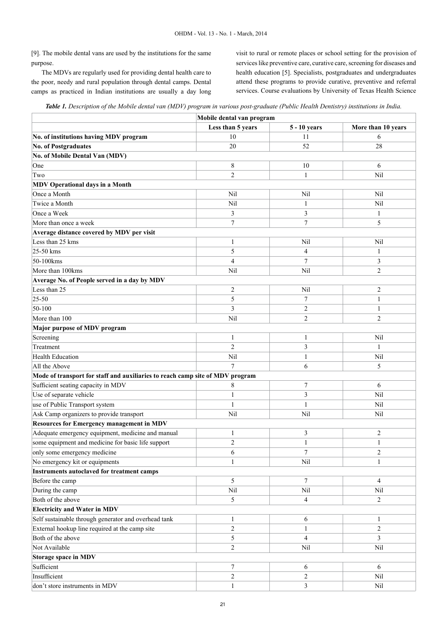[9]. The mobile dental vans are used by the institutions for the same purpose.

The MDVs are regularly used for providing dental health care to the poor, needy and rural population through dental camps. Dental camps as practiced in Indian institutions are usually a day long visit to rural or remote places or school setting for the provision of services like preventive care, curative care, screening for diseases and health education [5]. Specialists, postgraduates and undergraduates attend these programs to provide curative, preventive and referral services. Course evaluations by University of Texas Health Science

|  |  | Table 1. Description of the Mobile dental van (MDV) program in various post-graduate (Public Health Dentistry) institutions in India. |
|--|--|---------------------------------------------------------------------------------------------------------------------------------------|
|--|--|---------------------------------------------------------------------------------------------------------------------------------------|

|                                                                               | Mobile dental van program |                  |                    |  |  |  |  |
|-------------------------------------------------------------------------------|---------------------------|------------------|--------------------|--|--|--|--|
|                                                                               | Less than 5 years         | 5 - 10 years     | More than 10 years |  |  |  |  |
| No. of institutions having MDV program                                        | 10                        | 11               | 6                  |  |  |  |  |
| <b>No. of Postgraduates</b>                                                   | 20                        | 52               | 28                 |  |  |  |  |
| No. of Mobile Dental Van (MDV)                                                |                           |                  |                    |  |  |  |  |
| One                                                                           | 8                         | 10               | 6                  |  |  |  |  |
| Two                                                                           | 2                         | 1                | Nil                |  |  |  |  |
| <b>MDV Operational days in a Month</b>                                        |                           |                  |                    |  |  |  |  |
| Once a Month                                                                  | Nil                       | Nil              | Nil                |  |  |  |  |
| Twice a Month                                                                 | Nil                       | 1                | Nil                |  |  |  |  |
| Once a Week                                                                   | 3                         | 3                | 1                  |  |  |  |  |
| More than once a week                                                         | 7                         | $\overline{7}$   | 5                  |  |  |  |  |
| Average distance covered by MDV per visit                                     |                           |                  |                    |  |  |  |  |
| Less than 25 kms                                                              | 1                         | Nil              | Nil                |  |  |  |  |
| 25-50 kms                                                                     | 5                         | 4                | 1                  |  |  |  |  |
| 50-100kms                                                                     | 4                         | $\boldsymbol{7}$ | 3                  |  |  |  |  |
| More than 100kms                                                              | Nil                       | Nil              | $\overline{2}$     |  |  |  |  |
| Average No. of People served in a day by MDV                                  |                           |                  |                    |  |  |  |  |
| Less than 25                                                                  | 2                         | Nil              | 2                  |  |  |  |  |
| 25-50                                                                         | 5                         | $\boldsymbol{7}$ | 1                  |  |  |  |  |
| $50 - 100$                                                                    | 3                         | $\overline{2}$   | 1                  |  |  |  |  |
| More than 100                                                                 | Nil                       | $\overline{2}$   | $\overline{2}$     |  |  |  |  |
| Major purpose of MDV program                                                  |                           |                  |                    |  |  |  |  |
| Screening                                                                     | 1                         | 1                | Nil                |  |  |  |  |
| Treatment                                                                     | $\overline{c}$            | 3                | 1                  |  |  |  |  |
| <b>Health Education</b>                                                       | Nil                       | 1                | Nil                |  |  |  |  |
| All the Above                                                                 | $\overline{7}$            | 6                | 5                  |  |  |  |  |
| Mode of transport for staff and auxiliaries to reach camp site of MDV program |                           |                  |                    |  |  |  |  |
| Sufficient seating capacity in MDV                                            | 8                         | 7                | 6                  |  |  |  |  |
| Use of separate vehicle                                                       | 1                         | $\mathfrak{Z}$   | Nil                |  |  |  |  |
| use of Public Transport system                                                | 1                         | 1                | Nil                |  |  |  |  |
| Ask Camp organizers to provide transport                                      | Nil                       | Nil              | Nil                |  |  |  |  |
| <b>Resources for Emergency management in MDV</b>                              |                           |                  |                    |  |  |  |  |
| Adequate emergency equipment, medicine and manual                             | 1                         | 3                | 2                  |  |  |  |  |
| some equipment and medicine for basic life support                            | $\overline{\mathbf{c}}$   | 1                | $\mathbf{I}$       |  |  |  |  |
| only some emergency medicine                                                  | 6                         | $\tau$           | 2                  |  |  |  |  |
| No emergency kit or equipments                                                | 1                         | Nil              | 1                  |  |  |  |  |
| Instruments autoclaved for treatment camps                                    |                           |                  |                    |  |  |  |  |
| Before the camp                                                               | 5                         | $\tau$           | 4                  |  |  |  |  |
| During the camp                                                               | Nil                       | Nil              | Nil                |  |  |  |  |
| Both of the above                                                             | 5                         | $\overline{4}$   | 2                  |  |  |  |  |
| <b>Electricity and Water in MDV</b>                                           |                           |                  |                    |  |  |  |  |
| Self sustainable through generator and overhead tank                          | 1                         | 6                | 1                  |  |  |  |  |
| External hookup line required at the camp site                                | $\overline{c}$            | 1                | $\overline{2}$     |  |  |  |  |
| Both of the above                                                             | 5                         | $\overline{4}$   | 3                  |  |  |  |  |
| Not Available                                                                 | $\overline{c}$            | Nil              | Nil                |  |  |  |  |
| <b>Storage space in MDV</b>                                                   |                           |                  |                    |  |  |  |  |
| Sufficient                                                                    | 7                         | 6                | 6                  |  |  |  |  |
| Insufficient                                                                  | $\overline{c}$            | $\mathbf{2}$     | Nil                |  |  |  |  |
| don't store instruments in MDV                                                | 1                         | 3                | Nil                |  |  |  |  |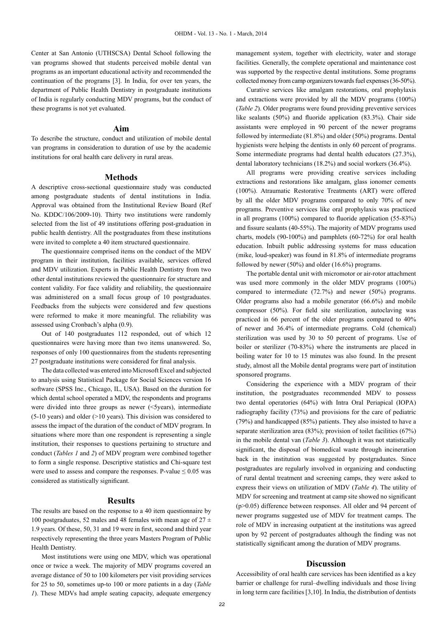Center at San Antonio (UTHSCSA) Dental School following the van programs showed that students perceived mobile dental van programs as an important educational activity and recommended the continuation of the programs [3]. In India, for over ten years, the department of Public Health Dentistry in postgraduate institutions of India is regularly conducting MDV programs, but the conduct of these programs is not yet evaluated.

#### **Aim**

To describe the structure, conduct and utilization of mobile dental van programs in consideration to duration of use by the academic institutions for oral health care delivery in rural areas.

#### **Methods**

A descriptive cross-sectional questionnaire study was conducted among postgraduate students of dental institutions in India. Approval was obtained from the Institutional Review Board (Ref No. KDDC/106/2009-10). Thirty two institutions were randomly selected from the list of 49 institutions offering post-graduation in public health dentistry. All the postgraduates from these institutions were invited to complete a 40 item structured questionnaire.

The questionnaire comprised items on the conduct of the MDV program in their institution, facilities available, services offered and MDV utilization. Experts in Public Health Dentistry from two other dental institutions reviewed the questionnaire for structure and content validity. For face validity and reliability, the questionnaire was administered on a small focus group of 10 postgraduates. Feedbacks from the subjects were considered and few questions were reformed to make it more meaningful. The reliability was assessed using Cronbach's alpha (0.9).

Out of 140 postgraduates 112 responded, out of which 12 questionnaires were having more than two items unanswered. So, responses of only 100 questionnaires from the students representing 27 postgraduate institutions were considered for final analysis.

The data collected was entered into Microsoft Excel and subjected to analysis using Statistical Package for Social Sciences version 16 software (SPSS Inc., Chicago, IL, USA). Based on the duration for which dental school operated a MDV, the respondents and programs were divided into three groups as newer (<5years), intermediate (5-10 years) and older (>10 years). This division was considered to assess the impact of the duration of the conduct of MDV program. In situations where more than one respondent is representing a single institution, their responses to questions pertaining to structure and conduct (*Tables 1* and *2*) of MDV program were combined together to form a single response. Descriptive statistics and Chi-square test were used to assess and compare the responses. P-value  $\leq 0.05$  was considered as statistically significant.

### **Results**

The results are based on the response to a 40 item questionnaire by 100 postgraduates, 52 males and 48 females with mean age of  $27 \pm$ 1.9 years. Of these, 50, 31 and 19 were in first, second and third year respectively representing the three years Masters Program of Public Health Dentistry.

Most institutions were using one MDV, which was operational once or twice a week. The majority of MDV programs covered an average distance of 50 to 100 kilometers per visit providing services for 25 to 50, sometimes up-to 100 or more patients in a day (*Table 1*). These MDVs had ample seating capacity, adequate emergency

management system, together with electricity, water and storage facilities. Generally, the complete operational and maintenance cost was supported by the respective dental institutions. Some programs collected money from camp organizers towards fuel expenses (36-50%).

Curative services like amalgam restorations, oral prophylaxis and extractions were provided by all the MDV programs (100%) (*Table 2*). Older programs were found providing preventive services like sealants (50%) and fluoride application (83.3%). Chair side assistants were employed in 90 percent of the newer programs followed by intermediate (81.8%) and older (50%) programs. Dental hygienists were helping the dentists in only 60 percent of programs. Some intermediate programs had dental health educators (27.3%), dental laboratory technicians (18.2%) and social workers (36.4%).

All programs were providing creative services including extractions and restorations like amalgam, glass ionomer cements (100%). Atraumatic Restorative Treatments (ART) were offered by all the older MDV programs compared to only 70% of new programs. Preventive services like oral prophylaxis was practiced in all programs (100%) compared to fluoride application (55-83%) and fissure sealants (40-55%). The majority of MDV programs used charts, models (90-100%) and pamphlets (60-72%) for oral health education. Inbuilt public addressing systems for mass education (mike, loud-speaker) was found in 81.8% of intermediate programs followed by newer (50%) and older (16.6%) programs.

The portable dental unit with micromotor or air-rotor attachment was used more commonly in the older MDV programs (100%) compared to intermediate (72.7%) and newer (50%) programs. Older programs also had a mobile generator (66.6%) and mobile compressor (50%). For field site sterilization, autoclaving was practiced in 66 percent of the older programs compared to 40% of newer and 36.4% of intermediate programs. Cold (chemical) sterilization was used by 30 to 50 percent of programs. Use of boiler or sterilizer (70-83%) where the instruments are placed in boiling water for 10 to 15 minutes was also found. In the present study, almost all the Mobile dental programs were part of institution sponsored programs.

Considering the experience with a MDV program of their institution, the postgraduates recommended MDV to possess two dental operatories (64%) with Intra Oral Periapical (IOPA) radiography facility (73%) and provisions for the care of pediatric (79%) and handicapped (85%) patients. They also insisted to have a separate sterilization area (83%); provision of toilet facilities (67%) in the mobile dental van (*Table 3*). Although it was not statistically significant, the disposal of biomedical waste through incineration back in the institution was suggested by postgraduates. Since postgraduates are regularly involved in organizing and conducting of rural dental treatment and screening camps, they were asked to express their views on utilization of MDV (*Table 4*). The utility of MDV for screening and treatment at camp site showed no significant (p>0.05) difference between responses. All older and 94 percent of newer programs suggested use of MDV for treatment camps. The role of MDV in increasing outpatient at the institutions was agreed upon by 92 percent of postgraduates although the finding was not statistically significant among the duration of MDV programs.

#### **Discussion**

Accessibility of oral health care services has been identified as a key barrier or challenge for rural–dwelling individuals and those living in long term care facilities [3,10]. In India, the distribution of dentists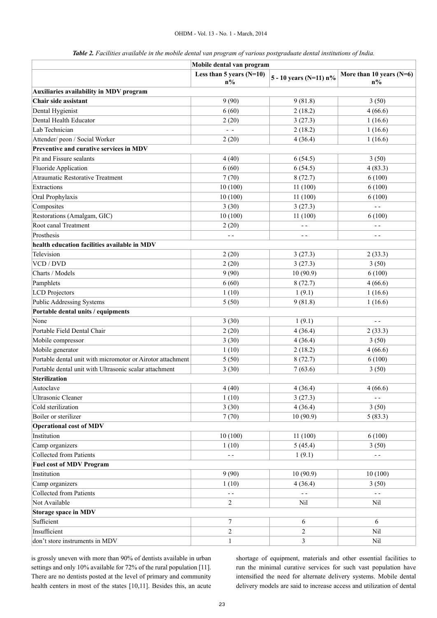|  |  | Table 2. Facilities available in the mobile dental van program of various postgraduate dental institutions of India. |  |
|--|--|----------------------------------------------------------------------------------------------------------------------|--|
|  |  |                                                                                                                      |  |

|                                                            | Mobile dental van program           |                           |                                     |  |  |
|------------------------------------------------------------|-------------------------------------|---------------------------|-------------------------------------|--|--|
|                                                            | Less than 5 years $(N=10)$<br>$n\%$ | 5 - 10 years (N=11) $n\%$ | More than 10 years $(N=6)$<br>$n\%$ |  |  |
| Auxiliaries availability in MDV program                    |                                     |                           |                                     |  |  |
| Chair side assistant                                       | 9(90)                               | 9(81.8)                   | 3(50)                               |  |  |
| Dental Hygienist                                           | 6(60)                               | 2(18.2)                   | 4(66.6)                             |  |  |
| Dental Health Educator                                     | 2(20)                               | 3(27.3)                   | 1(16.6)                             |  |  |
| Lab Technician                                             | $\overline{a}$                      | 2(18.2)                   | 1(16.6)                             |  |  |
| Attender/ peon / Social Worker                             | 2(20)                               | 4(36.4)                   | 1(16.6)                             |  |  |
| Preventive and curative services in MDV                    |                                     |                           |                                     |  |  |
| Pit and Fissure sealants                                   | 4(40)                               | 6(54.5)                   | 3(50)                               |  |  |
| Fluoride Application                                       | 6(60)                               | 6(54.5)                   | 4(83.3)                             |  |  |
| <b>Atraumatic Restorative Treatment</b>                    | 7(70)                               | 8(72.7)                   | 6(100)                              |  |  |
| Extractions                                                | 10(100)                             | 11(100)                   | 6(100)                              |  |  |
| Oral Prophylaxis                                           | 10(100)                             | 11(100)                   | 6(100)                              |  |  |
| Composites                                                 | 3(30)                               | 3(27.3)                   | $\overline{a}$                      |  |  |
| Restorations (Amalgam, GIC)                                | 10(100)                             | 11 (100)                  | 6(100)                              |  |  |
| Root canal Treatment                                       | 2(20)                               | $ -$                      | $ -$                                |  |  |
| Prosthesis                                                 | $ -$                                | $\sim$ $\sim$             | $ -$                                |  |  |
| health education facilities available in MDV               |                                     |                           |                                     |  |  |
| Television                                                 | 2(20)                               | 3(27.3)                   | 2(33.3)                             |  |  |
| VCD / DVD                                                  | 2(20)                               | 3(27.3)                   | 3(50)                               |  |  |
| Charts / Models                                            | 9(90)                               | 10(90.9)                  | 6(100)                              |  |  |
| Pamphlets                                                  | 6(60)                               | 8(72.7)                   | 4(66.6)                             |  |  |
| <b>LCD</b> Projectors                                      | 1(10)                               | 1(9.1)                    | 1(16.6)                             |  |  |
| <b>Public Addressing Systems</b>                           | 5(50)                               | 9(81.8)                   | 1(16.6)                             |  |  |
| Portable dental units / equipments                         |                                     |                           |                                     |  |  |
| None                                                       | 3(30)                               | 1(9.1)                    | $ -$                                |  |  |
| Portable Field Dental Chair                                | 2(20)                               | 4(36.4)                   | 2(33.3)                             |  |  |
| Mobile compressor                                          | 3(30)                               | 4(36.4)                   | 3(50)                               |  |  |
| Mobile generator                                           | 1(10)                               | 2(18.2)                   | 4(66.6)                             |  |  |
| Portable dental unit with micromotor or Airotor attachment | 5(50)                               | 8(72.7)                   | 6(100)                              |  |  |
| Portable dental unit with Ultrasonic scalar attachment     | 3(30)                               | 7(63.6)                   | 3(50)                               |  |  |
| <b>Sterilization</b>                                       |                                     |                           |                                     |  |  |
| Autoclave                                                  | 4 (40)                              | 4(36.4)                   | 4(66.6)                             |  |  |
| Ultrasonic Cleaner                                         | 1(10)                               | 3(27.3)                   | $ -$                                |  |  |
| Cold sterilization                                         | 3(30)                               | 4(36.4)                   | 3(50)                               |  |  |
| Boiler or sterilizer                                       | 7(70)                               | 10(90.9)                  | 5(83.3)                             |  |  |
| <b>Operational cost of MDV</b>                             |                                     |                           |                                     |  |  |
| Institution                                                | 10(100)                             | 11(100)                   | 6(100)                              |  |  |
| Camp organizers                                            | 1(10)                               | 5(45.4)                   | 3(50)                               |  |  |
| <b>Collected from Patients</b>                             | $ -$                                | 1(9.1)                    | $ -$                                |  |  |
| <b>Fuel cost of MDV Program</b>                            |                                     |                           |                                     |  |  |
| Institution                                                | 9(90)                               | 10(90.9)                  | 10(100)                             |  |  |
| Camp organizers                                            | 1(10)                               | 4(36.4)                   | 3(50)                               |  |  |
| <b>Collected from Patients</b>                             | $\sim$ $\sim$                       | $\sim$ $\sim$             | $ -$                                |  |  |
| Not Available                                              | 2                                   | Nil                       | Nil                                 |  |  |
| <b>Storage space in MDV</b>                                |                                     |                           |                                     |  |  |
| Sufficient                                                 | $\tau$                              | 6                         | 6                                   |  |  |
| Insufficient                                               | $\overline{c}$                      | $\overline{2}$            | Nil                                 |  |  |
| don't store instruments in MDV                             | $\mathbf{1}$                        | $\mathfrak{Z}$            | Nil                                 |  |  |

is grossly uneven with more than 90% of dentists available in urban settings and only 10% available for 72% of the rural population [11]. There are no dentists posted at the level of primary and community health centers in most of the states [10,11]. Besides this, an acute

shortage of equipment, materials and other essential facilities to run the minimal curative services for such vast population have intensified the need for alternate delivery systems. Mobile dental delivery models are said to increase access and utilization of dental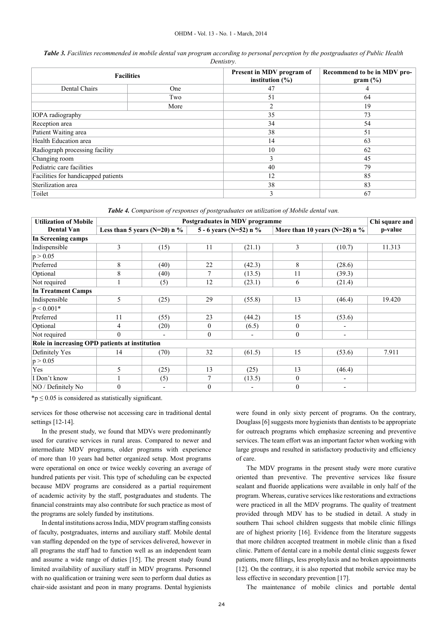*Table 3. Facilities recommended in mobile dental van program according to personal perception by the postgraduates of Public Health Dentistry.*

| <b>Facilities</b>                   |      | Present in MDV program of<br>institution $(\% )$ | Recommend to be in MDV pro-<br>gram $(\frac{6}{6})$ |  |
|-------------------------------------|------|--------------------------------------------------|-----------------------------------------------------|--|
| Dental Chairs                       | One  | 47                                               | 4                                                   |  |
|                                     | Two  | 51                                               | 64                                                  |  |
|                                     | More | $\overline{2}$                                   | 19                                                  |  |
| IOPA radiography                    |      | 35                                               | 73                                                  |  |
| Reception area                      |      | 34                                               | 54                                                  |  |
| Patient Waiting area                |      | 38                                               | 51                                                  |  |
| Health Education area               |      | 14                                               | 63                                                  |  |
| Radiograph processing facility      |      | 10                                               | 62                                                  |  |
| Changing room                       |      | 3                                                | 45                                                  |  |
| Pediatric care facilities           |      | 40                                               | 79                                                  |  |
| Facilities for handicapped patients |      | 12                                               | 85                                                  |  |
| Sterilization area                  |      | 38                                               | 83                                                  |  |
| Toilet                              |      | 3                                                | 67                                                  |  |

*Table 4. Comparison of responses of postgraduates on utilization of Mobile dental van.*

| <b>Utilization of Mobile</b>                   | Postgraduates in MDV programme  |      |                        |        |                                 |        | Chi square and |  |
|------------------------------------------------|---------------------------------|------|------------------------|--------|---------------------------------|--------|----------------|--|
| <b>Dental Van</b>                              | Less than 5 years (N=20) n $\%$ |      | 5 - 6 years (N=52) n % |        | More than 10 years (N=28) n $%$ |        | p-value        |  |
| In Screening camps                             |                                 |      |                        |        |                                 |        |                |  |
| Indispensible                                  | $\mathfrak{Z}$                  | (15) | 11                     | (21.1) | 3                               | (10.7) | 11.313         |  |
| p > 0.05                                       |                                 |      |                        |        |                                 |        |                |  |
| Preferred                                      | 8                               | (40) | 22                     | (42.3) | 8                               | (28.6) |                |  |
| Optional                                       | 8                               | (40) | 7                      | (13.5) | 11                              | (39.3) |                |  |
| Not required                                   |                                 | (5)  | 12                     | (23.1) | 6                               | (21.4) |                |  |
| <b>In Treatment Camps</b>                      |                                 |      |                        |        |                                 |        |                |  |
| Indispensible                                  | 5                               | (25) | 29                     | (55.8) | 13                              | (46.4) | 19.420         |  |
| $p < 0.001*$                                   |                                 |      |                        |        |                                 |        |                |  |
| Preferred                                      | 11                              | (55) | 23                     | (44.2) | 15                              | (53.6) |                |  |
| Optional                                       | 4                               | (20) | $\theta$               | (6.5)  | $\theta$                        |        |                |  |
| Not required                                   | $\Omega$                        |      | $\theta$               |        | $\mathbf{0}$                    |        |                |  |
| Role in increasing OPD patients at institution |                                 |      |                        |        |                                 |        |                |  |
| Definitely Yes                                 | 14                              | (70) | 32                     | (61.5) | 15                              | (53.6) | 7.911          |  |
| p > 0.05                                       |                                 |      |                        |        |                                 |        |                |  |
| Yes                                            | 5                               | (25) | 13                     | (25)   | 13                              | (46.4) |                |  |
| I Don't know                                   |                                 | (5)  | 7                      | (13.5) | $\mathbf{0}$                    |        |                |  |
| NO / Definitely No                             | $\mathbf{0}$                    |      | $\boldsymbol{0}$       |        | $\mathbf{0}$                    |        |                |  |

 $*p \leq 0.05$  is considered as statistically significant.

services for those otherwise not accessing care in traditional dental settings [12-14].

In the present study, we found that MDVs were predominantly used for curative services in rural areas. Compared to newer and intermediate MDV programs, older programs with experience of more than 10 years had better organized setup. Most programs were operational on once or twice weekly covering an average of hundred patients per visit. This type of scheduling can be expected because MDV programs are considered as a partial requirement of academic activity by the staff, postgraduates and students. The financial constraints may also contribute for such practice as most of the programs are solely funded by institutions.

In dental institutions across India, MDV program staffing consists of faculty, postgraduates, interns and auxiliary staff. Mobile dental van staffing depended on the type of services delivered, however in all programs the staff had to function well as an independent team and assume a wide range of duties [15]. The present study found limited availability of auxiliary staff in MDV programs. Personnel with no qualification or training were seen to perform dual duties as chair-side assistant and peon in many programs. Dental hygienists

were found in only sixty percent of programs. On the contrary, Douglass [6] suggests more hygienists than dentists to be appropriate for outreach programs which emphasize screening and preventive services. The team effort was an important factor when working with large groups and resulted in satisfactory productivity and efficiency of care.

The MDV programs in the present study were more curative oriented than preventive. The preventive services like fissure sealant and fluoride applications were available in only half of the program. Whereas, curative services like restorations and extractions were practiced in all the MDV programs. The quality of treatment provided through MDV has to be studied in detail. A study in southern Thai school children suggests that mobile clinic fillings are of highest priority [16]. Evidence from the literature suggests that more children accepted treatment in mobile clinic than a fixed clinic. Pattern of dental care in a mobile dental clinic suggests fewer patients, more fillings, less prophylaxis and no broken appointments [12]. On the contrary, it is also reported that mobile service may be less effective in secondary prevention [17].

The maintenance of mobile clinics and portable dental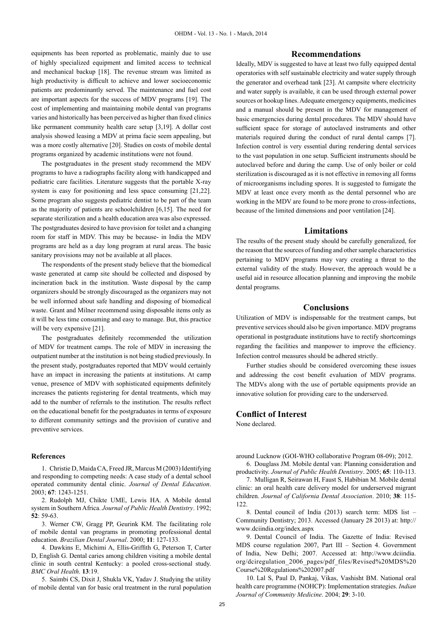equipments has been reported as problematic, mainly due to use of highly specialized equipment and limited access to technical and mechanical backup [18]. The revenue stream was limited as high productivity is difficult to achieve and lower socioeconomic patients are predominantly served. The maintenance and fuel cost are important aspects for the success of MDV programs [19]. The cost of implementing and maintaining mobile dental van programs varies and historically has been perceived as higher than fixed clinics like permanent community health care setup [3,19]. A dollar cost analysis showed leasing a MDV at prima facie seem appealing, but was a more costly alternative [20]. Studies on costs of mobile dental programs organized by academic institutions were not found.

The postgraduates in the present study recommend the MDV programs to have a radiographs facility along with handicapped and pediatric care facilities. Literature suggests that the portable X-ray system is easy for positioning and less space consuming [21,22]. Some program also suggests pediatric dentist to be part of the team as the majority of patients are schoolchildren [6,15]. The need for separate sterilization and a health education area was also expressed. The postgraduates desired to have provision for toilet and a changing room for staff in MDV. This may be because- in India the MDV programs are held as a day long program at rural areas. The basic sanitary provisions may not be available at all places.

The respondents of the present study believe that the biomedical waste generated at camp site should be collected and disposed by incineration back in the institution. Waste disposal by the camp organizers should be strongly discouraged as the organizers may not be well informed about safe handling and disposing of biomedical waste. Grant and Milner recommend using disposable items only as it will be less time consuming and easy to manage. But, this practice will be very expensive [21].

The postgraduates definitely recommended the utilization of MDV for treatment camps. The role of MDV in increasing the outpatient number at the institution is not being studied previously. In the present study, postgraduates reported that MDV would certainly have an impact in increasing the patients at institutions. At camp venue, presence of MDV with sophisticated equipments definitely increases the patients registering for dental treatments, which may add to the number of referrals to the institution. The results reflect on the educational benefit for the postgraduates in terms of exposure to different community settings and the provision of curative and preventive services.

#### **References**

1. Christie D, Maida CA, Freed JR, Marcus M (2003) Identifying and responding to competing needs: A case study of a dental school operated community dental clinic. *Journal of Dental Education*. 2003; **67**: 1243-1251.

2. Rudolph MJ, Chikte UME, Lewis HA. A Mobile dental system in Southern Africa. *Journal of Public Health Dentistry*. 1992; **52**: 59-63.

3. Werner CW, Gragg PP, Geurink KM. The facilitating role of mobile dental van programs in promoting professional dental education. *Brazilian Dental Journal*. 2000; **11**: 127-133.

4. Dawkins E, Michimi A, Ellis-Griffith G, Peterson T, Carter D, English G. Dental caries among children visiting a mobile dental clinic in south central Kentucky: a pooled cross-sectional study. *BMC Oral Health*. **13**:19.

5. Saimbi CS, Dixit J, Shukla VK, Yadav J. Studying the utility of mobile dental van for basic oral treatment in the rural population

#### **Recommendations**

Ideally, MDV is suggested to have at least two fully equipped dental operatories with self sustainable electricity and water supply through the generator and overhead tank [23]. At campsite where electricity and water supply is available, it can be used through external power sources or hookup lines. Adequate emergency equipments, medicines and a manual should be present in the MDV for management of basic emergencies during dental procedures. The MDV should have sufficient space for storage of autoclaved instruments and other materials required during the conduct of rural dental camps [7]. Infection control is very essential during rendering dental services to the vast population in one setup. Sufficient instruments should be autoclaved before and during the camp. Use of only boiler or cold sterilization is discouraged as it is not effective in removing all forms of microorganisms including spores. It is suggested to fumigate the MDV at least once every month as the dental personnel who are working in the MDV are found to be more prone to cross-infections, because of the limited dimensions and poor ventilation [24].

## **Limitations**

The results of the present study should be carefully generalized, for the reason that the sources of funding and other sample characteristics pertaining to MDV programs may vary creating a threat to the external validity of the study. However, the approach would be a useful aid in resource allocation planning and improving the mobile dental programs.

#### **Conclusions**

Utilization of MDV is indispensable for the treatment camps, but preventive services should also be given importance. MDV programs operational in postgraduate institutions have to rectify shortcomings regarding the facilities and manpower to improve the efficiency. Infection control measures should be adhered strictly.

Further studies should be considered overcoming these issues and addressing the cost benefit evaluation of MDV programs. The MDVs along with the use of portable equipments provide an innovative solution for providing care to the underserved.

#### **Conflict of Interest**

None declared.

around Lucknow (GOI-WHO collaborative Program 08-09); 2012.

6. Douglass JM. Mobile dental van: Planning consideration and productivity. *Journal of Public Health Dentistry*. 2005; **65**: 110-113.

7. Mulligan R, Seirawan H, Faust S, Habibian M. Mobile dental clinic: an oral health care delivery model for underserved migrant children. *Journal of California Dental Association*. 2010; **38**: 115-  $122$ 

8. Dental council of India (2013) search term: MDS list – Community Dentistry; 2013. Accessed (January 28 2013) at: http:// www.dciindia.org/index.aspx

9. Dental Council of India. The Gazette of India: Revised MDS course regulation 2007, Part III – Section 4. Government of India, New Delhi; 2007. Accessed at: http://www.dciindia. org/dciregulation\_2006\_pages/pdf\_files/Revised%20MDS%20 Course%20Regulations%202007.pdf

10. Lal S, Paul D, Pankaj, Vikas, Vashisht BM. National oral health care programme (NOHCP): Implementation strategies. *Indian Journal of Community Medicine*. 2004; **29**: 3-10.